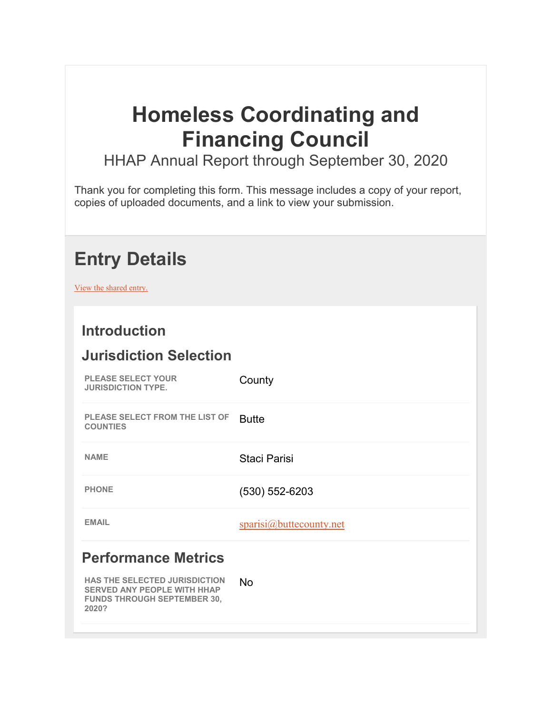# **Homeless Coordinating and Financing Council**

HHAP Annual Report through September 30, 2020

Thank you for completing this form. This message includes a copy of your report, copies of uploaded documents, and a link to view your submission.

## **Entry Details**

View the shared entry.

### **Introduction**

#### **Jurisdiction Selection**

| <b>PLEASE SELECT YOUR</b><br><b>JURISDICTION TYPE.</b>                                                                    | County                  |
|---------------------------------------------------------------------------------------------------------------------------|-------------------------|
| <b>PLEASE SELECT FROM THE LIST OF</b><br><b>COUNTIES</b>                                                                  | <b>Butte</b>            |
| <b>NAME</b>                                                                                                               | Staci Parisi            |
| <b>PHONE</b>                                                                                                              | $(530) 552 - 6203$      |
| <b>EMAIL</b>                                                                                                              | sparisi@buttecounty.net |
| <b>Performance Metrics</b>                                                                                                |                         |
| <b>HAS THE SELECTED JURISDICTION</b><br><b>SERVED ANY PEOPLE WITH HHAP</b><br><b>FUNDS THROUGH SEPTEMBER 30,</b><br>2020? | <b>No</b>               |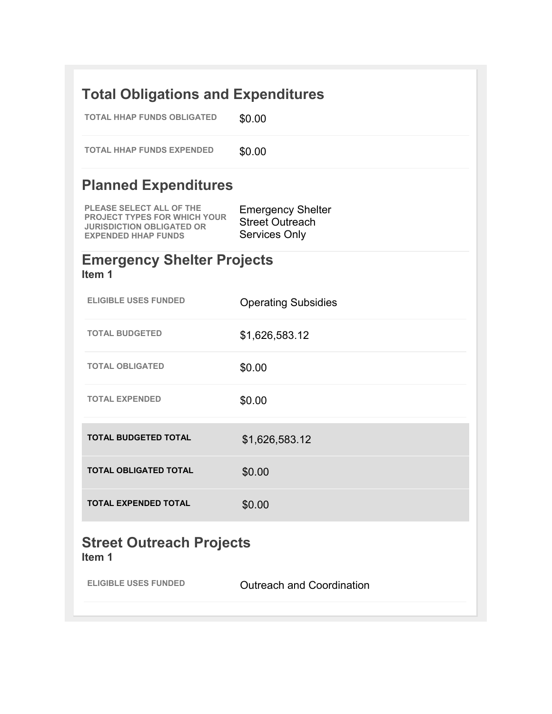| <b>Total Obligations and Expenditures</b>                                                                                                |                                                                            |
|------------------------------------------------------------------------------------------------------------------------------------------|----------------------------------------------------------------------------|
| <b>TOTAL HHAP FUNDS OBLIGATED</b>                                                                                                        | \$0.00                                                                     |
| <b>TOTAL HHAP FUNDS EXPENDED</b>                                                                                                         | \$0.00                                                                     |
| <b>Planned Expenditures</b>                                                                                                              |                                                                            |
| <b>PLEASE SELECT ALL OF THE</b><br><b>PROJECT TYPES FOR WHICH YOUR</b><br><b>JURISDICTION OBLIGATED OR</b><br><b>EXPENDED HHAP FUNDS</b> | <b>Emergency Shelter</b><br><b>Street Outreach</b><br><b>Services Only</b> |
| <b>Emergency Shelter Projects</b><br>Item 1                                                                                              |                                                                            |
| <b>ELIGIBLE USES FUNDED</b>                                                                                                              | <b>Operating Subsidies</b>                                                 |
| <b>TOTAL BUDGETED</b>                                                                                                                    | \$1,626,583.12                                                             |
| <b>TOTAL OBLIGATED</b>                                                                                                                   | \$0.00                                                                     |
| <b>TOTAL EXPENDED</b>                                                                                                                    | \$0.00                                                                     |
| <b>TOTAL BUDGETED TOTAL</b>                                                                                                              | \$1,626,583.12                                                             |
| TOTAL OBLIGATED TOTAL                                                                                                                    | \$0.00                                                                     |
| <b>TOTAL EXPENDED TOTAL</b>                                                                                                              | \$0.00                                                                     |
| <b>Street Outreach Projects</b><br>Item 1                                                                                                |                                                                            |
| <b>ELIGIBLE USES FUNDED</b>                                                                                                              | <b>Outreach and Coordination</b>                                           |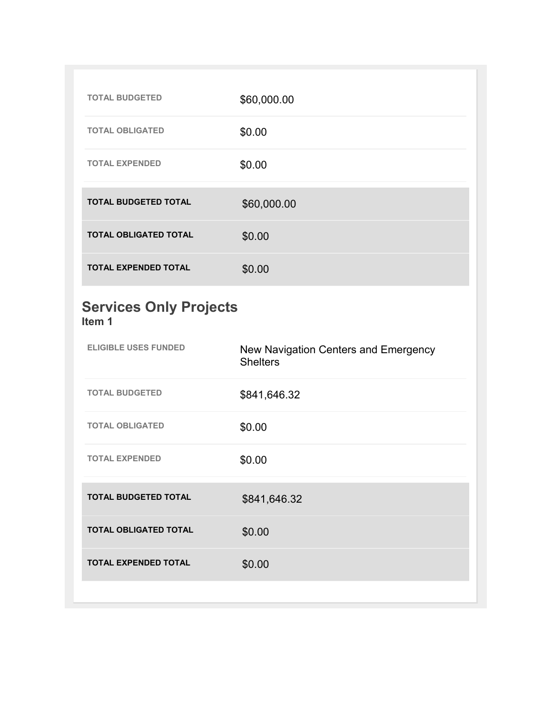| <b>TOTAL BUDGETED</b>                   | \$60,000.00                                             |
|-----------------------------------------|---------------------------------------------------------|
| <b>TOTAL OBLIGATED</b>                  | \$0.00                                                  |
| <b>TOTAL EXPENDED</b>                   | \$0.00                                                  |
| <b>TOTAL BUDGETED TOTAL</b>             | \$60,000.00                                             |
| <b>TOTAL OBLIGATED TOTAL</b>            | \$0.00                                                  |
| <b>TOTAL EXPENDED TOTAL</b>             | \$0.00                                                  |
|                                         |                                                         |
| <b>Services Only Projects</b><br>Item 1 |                                                         |
| <b>ELIGIBLE USES FUNDED</b>             | New Navigation Centers and Emergency<br><b>Shelters</b> |
| <b>TOTAL BUDGETED</b>                   | \$841,646.32                                            |
| <b>TOTAL OBLIGATED</b>                  | \$0.00                                                  |
| <b>TOTAL EXPENDED</b>                   | \$0.00                                                  |
| <b>TOTAL BUDGETED TOTAL</b>             | \$841,646.32                                            |

**TOTAL EXPENDED TOTAL**  \$0.00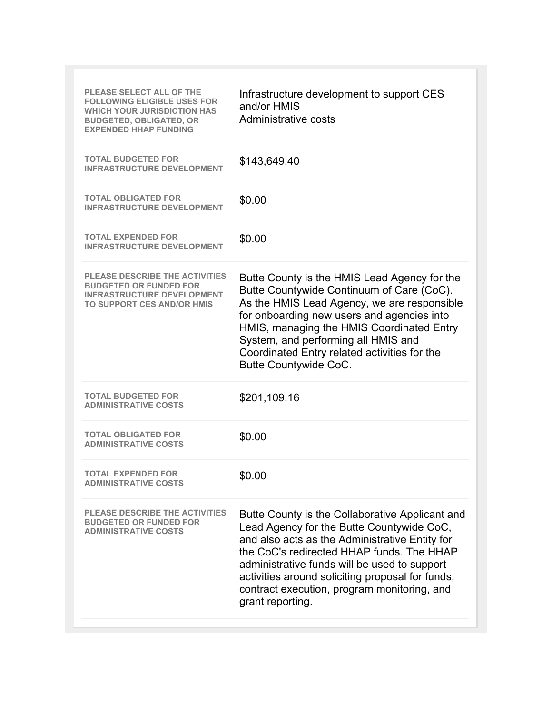| <b>PLEASE SELECT ALL OF THE</b><br><b>FOLLOWING ELIGIBLE USES FOR</b><br><b>WHICH YOUR JURISDICTION HAS</b><br><b>BUDGETED, OBLIGATED, OR</b><br><b>FXPENDED HHAP FUNDING</b> | Infrastructure development to support CES<br>and/or HMIS<br>Administrative costs                                                                                                                                                                                                                                                                                   |
|-------------------------------------------------------------------------------------------------------------------------------------------------------------------------------|--------------------------------------------------------------------------------------------------------------------------------------------------------------------------------------------------------------------------------------------------------------------------------------------------------------------------------------------------------------------|
| <b>TOTAL BUDGETED FOR</b><br><b>INFRASTRUCTURE DEVELOPMENT</b>                                                                                                                | \$143,649.40                                                                                                                                                                                                                                                                                                                                                       |
| <b>TOTAL OBLIGATED FOR</b><br><b>INFRASTRUCTURE DEVELOPMENT</b>                                                                                                               | \$0.00                                                                                                                                                                                                                                                                                                                                                             |
| <b>TOTAL EXPENDED FOR</b><br><b>INFRASTRUCTURE DEVELOPMENT</b>                                                                                                                | \$0.00                                                                                                                                                                                                                                                                                                                                                             |
| <b>PLEASE DESCRIBE THE ACTIVITIES</b><br><b>BUDGETED OR FUNDED FOR</b><br><b>INFRASTRUCTURE DEVELOPMENT</b><br><b>TO SUPPORT CES AND/OR HMIS</b>                              | Butte County is the HMIS Lead Agency for the<br>Butte Countywide Continuum of Care (CoC).<br>As the HMIS Lead Agency, we are responsible<br>for onboarding new users and agencies into<br>HMIS, managing the HMIS Coordinated Entry<br>System, and performing all HMIS and<br>Coordinated Entry related activities for the<br><b>Butte Countywide CoC.</b>         |
| <b>TOTAL BUDGETED FOR</b><br><b>ADMINISTRATIVE COSTS</b>                                                                                                                      | \$201,109.16                                                                                                                                                                                                                                                                                                                                                       |
| <b>TOTAL OBLIGATED FOR</b><br><b>ADMINISTRATIVE COSTS</b>                                                                                                                     | \$0.00                                                                                                                                                                                                                                                                                                                                                             |
| <b>TOTAL EXPENDED FOR</b><br><b>ADMINISTRATIVE COSTS</b>                                                                                                                      | \$0.00                                                                                                                                                                                                                                                                                                                                                             |
| PLEASE DESCRIBE THE ACTIVITIES<br><b>BUDGETED OR FUNDED FOR</b><br><b>ADMINISTRATIVE COSTS</b>                                                                                | Butte County is the Collaborative Applicant and<br>Lead Agency for the Butte Countywide CoC,<br>and also acts as the Administrative Entity for<br>the CoC's redirected HHAP funds. The HHAP<br>administrative funds will be used to support<br>activities around soliciting proposal for funds,<br>contract execution, program monitoring, and<br>grant reporting. |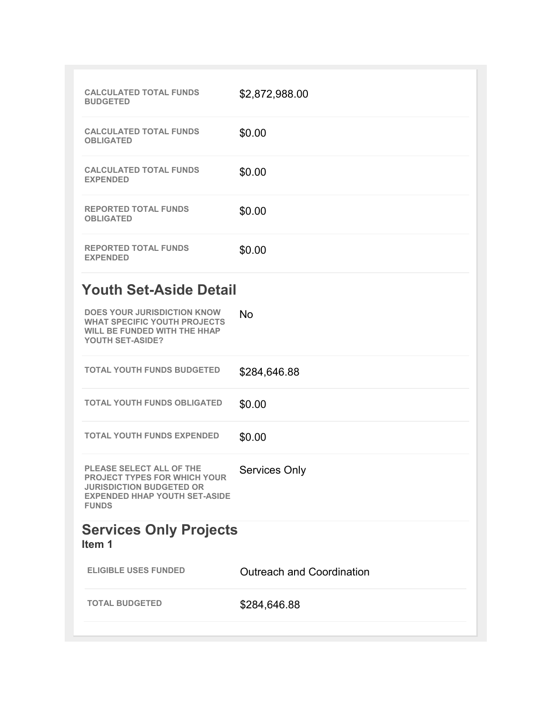| <b>CALCULATED TOTAL FUNDS</b><br><b>BUDGETED</b>                                                                                                                  | \$2,872,988.00                   |
|-------------------------------------------------------------------------------------------------------------------------------------------------------------------|----------------------------------|
| <b>CALCULATED TOTAL FUNDS</b><br><b>OBLIGATED</b>                                                                                                                 | \$0.00                           |
| <b>CALCULATED TOTAL FUNDS</b><br><b>EXPENDED</b>                                                                                                                  | \$0.00                           |
| <b>REPORTED TOTAL FUNDS</b><br><b>OBLIGATED</b>                                                                                                                   | \$0.00                           |
| <b>REPORTED TOTAL FUNDS</b><br><b>EXPENDED</b>                                                                                                                    | \$0.00                           |
| <b>Youth Set-Aside Detail</b>                                                                                                                                     |                                  |
| <b>DOES YOUR JURISDICTION KNOW</b><br><b>WHAT SPECIFIC YOUTH PROJECTS</b><br><b>WILL BE FUNDED WITH THE HHAP</b><br>YOUTH SET-ASIDE?                              | No                               |
| <b>TOTAL YOUTH FUNDS BUDGETED</b>                                                                                                                                 | \$284,646.88                     |
| <b>TOTAL YOUTH FUNDS OBLIGATED</b>                                                                                                                                | \$0.00                           |
| <b>TOTAL YOUTH FUNDS EXPENDED</b>                                                                                                                                 | \$0.00                           |
| <b>PLEASE SELECT ALL OF THE</b><br><b>PROJECT TYPES FOR WHICH YOUR</b><br><b>JURISDICTION BUDGETED OR</b><br><b>EXPENDED HHAP YOUTH SET-ASIDE</b><br><b>FUNDS</b> | <b>Services Only</b>             |
| <b>Services Only Projects</b><br>Item 1                                                                                                                           |                                  |
| <b>ELIGIBLE USES FUNDED</b>                                                                                                                                       | <b>Outreach and Coordination</b> |
| <b>TOTAL BUDGETED</b>                                                                                                                                             | \$284,646.88                     |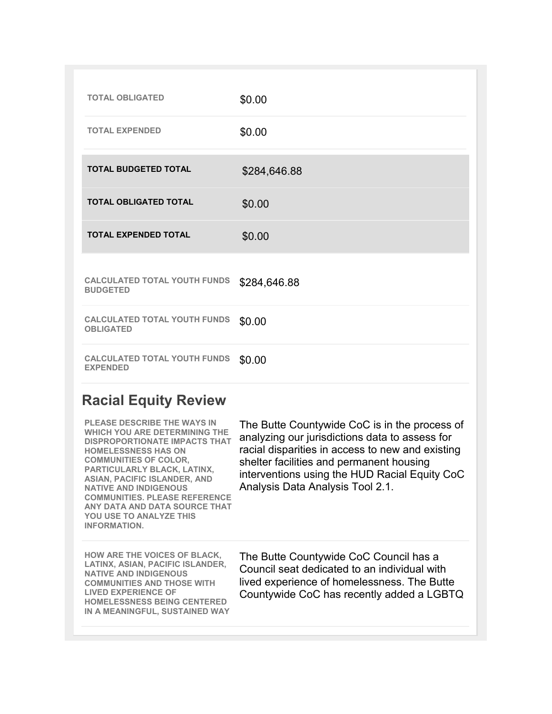| <b>TOTAL OBLIGATED</b>                                  | \$0.00       |
|---------------------------------------------------------|--------------|
| <b>TOTAL EXPENDED</b>                                   | \$0.00       |
| <b>TOTAL BUDGETED TOTAL</b>                             | \$284,646.88 |
| <b>TOTAL OBLIGATED TOTAL</b>                            | \$0.00       |
| <b>TOTAL EXPENDED TOTAL</b>                             | \$0.00       |
| <b>CALCULATED TOTAL YOUTH FUNDS</b><br><b>BUDGETED</b>  | \$284,646.88 |
| <b>CALCULATED TOTAL YOUTH FUNDS</b><br><b>OBLIGATED</b> | \$0.00       |
| <b>CALCULATED TOTAL YOUTH FUNDS</b><br><b>EXPENDED</b>  | \$0.00       |

## **Racial Equity Review**

| <b>PLEASE DESCRIBE THE WAYS IN</b><br><b>WHICH YOU ARE DETERMINING THE</b><br><b>DISPROPORTIONATE IMPACTS THAT</b><br><b>HOMELESSNESS HAS ON</b><br><b>COMMUNITIES OF COLOR,</b><br>PARTICULARLY BLACK, LATINX,<br><b>ASIAN, PACIFIC ISLANDER, AND</b><br><b>NATIVE AND INDIGENOUS</b><br><b>COMMUNITIES. PLEASE REFERENCE</b><br>ANY DATA AND DATA SOURCE THAT<br><b>YOU USE TO ANALYZE THIS</b><br><b>INFORMATION.</b> | The Butte Countywide CoC is in the process of<br>analyzing our jurisdictions data to assess for<br>racial disparities in access to new and existing<br>shelter facilities and permanent housing<br>interventions using the HUD Racial Equity CoC<br>Analysis Data Analysis Tool 2.1. |
|--------------------------------------------------------------------------------------------------------------------------------------------------------------------------------------------------------------------------------------------------------------------------------------------------------------------------------------------------------------------------------------------------------------------------|--------------------------------------------------------------------------------------------------------------------------------------------------------------------------------------------------------------------------------------------------------------------------------------|
| <b>HOW ARE THE VOICES OF BLACK,</b><br>LATINX, ASIAN, PACIFIC ISLANDER,<br><b>NATIVE AND INDIGENOUS</b><br><b>COMMUNITIES AND THOSE WITH</b><br><b>LIVED EXPERIENCE OF</b><br><b>HOMELESSNESS BEING CENTERED</b><br>IN A MEANINGFUL, SUSTAINED WAY                                                                                                                                                                       | The Butte Countywide CoC Council has a<br>Council seat dedicated to an individual with<br>lived experience of homelessness. The Butte<br>Countywide CoC has recently added a LGBTQ                                                                                                   |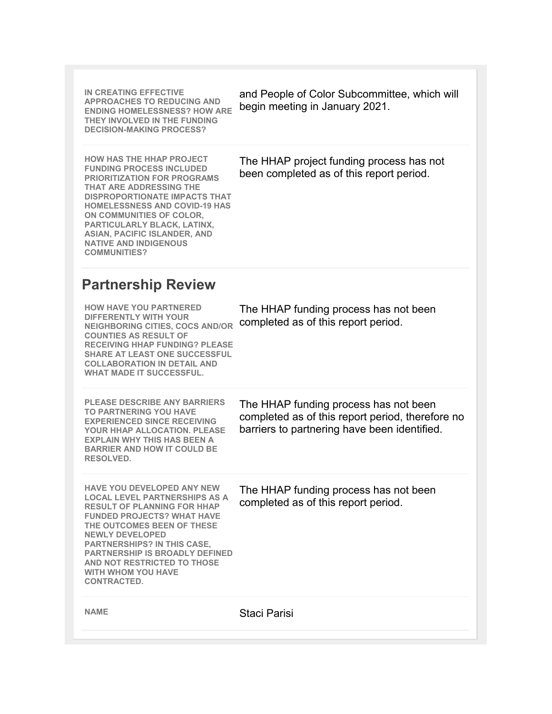| IN CREATING EFFECTIVE<br><b>APPROACHES TO REDUCING AND</b><br><b>ENDING HOMELESSNESS? HOW ARE</b><br>THEY INVOLVED IN THE FUNDING<br><b>DECISION-MAKING PROCESS?</b>                                                                                                                                                                                                                 | and People of Color Subcommittee, which will<br>begin meeting in January 2021.                                                            |
|--------------------------------------------------------------------------------------------------------------------------------------------------------------------------------------------------------------------------------------------------------------------------------------------------------------------------------------------------------------------------------------|-------------------------------------------------------------------------------------------------------------------------------------------|
| <b>HOW HAS THE HHAP PROJECT</b><br><b>FUNDING PROCESS INCLUDED</b><br><b>PRIORITIZATION FOR PROGRAMS</b><br><b>THAT ARE ADDRESSING THE</b><br><b>DISPROPORTIONATE IMPACTS THAT</b><br><b>HOMELESSNESS AND COVID-19 HAS</b><br>ON COMMUNITIES OF COLOR,<br>PARTICULARLY BLACK, LATINX,<br><b>ASIAN, PACIFIC ISLANDER, AND</b><br><b>NATIVE AND INDIGENOUS</b><br><b>COMMUNITIES?</b>  | The HHAP project funding process has not<br>been completed as of this report period.                                                      |
| <b>Partnership Review</b>                                                                                                                                                                                                                                                                                                                                                            |                                                                                                                                           |
| <b>HOW HAVE YOU PARTNERED</b><br><b>DIFFERENTLY WITH YOUR</b><br><b>NEIGHBORING CITIES, COCS AND/OR</b><br><b>COUNTIES AS RESULT OF</b><br><b>RECEIVING HHAP FUNDING? PLEASE</b><br><b>SHARE AT LEAST ONE SUCCESSFUL</b><br><b>COLLABORATION IN DETAIL AND</b><br><b>WHAT MADE IT SUCCESSFUL.</b>                                                                                    | The HHAP funding process has not been<br>completed as of this report period.                                                              |
| <b>PLEASE DESCRIBE ANY BARRIERS</b><br><b>TO PARTNERING YOU HAVE</b><br><b>EXPERIENCED SINCE RECEIVING</b><br><b>YOUR HHAP ALLOCATION, PLEASE</b><br><b>EXPLAIN WHY THIS HAS BEEN A</b><br><b>BARRIER AND HOW IT COULD BE</b><br>RESOLVED.                                                                                                                                           | The HHAP funding process has not been<br>completed as of this report period, therefore no<br>barriers to partnering have been identified. |
| <b>HAVE YOU DEVELOPED ANY NEW</b><br><b>LOCAL LEVEL PARTNERSHIPS AS A</b><br><b>RESULT OF PLANNING FOR HHAP</b><br><b>FUNDED PROJECTS? WHAT HAVE</b><br>THE OUTCOMES BEEN OF THESE<br><b>NEWLY DEVELOPED</b><br><b>PARTNERSHIPS? IN THIS CASE,</b><br><b>PARTNERSHIP IS BROADLY DEFINED</b><br><b>AND NOT RESTRICTED TO THOSE</b><br><b>WITH WHOM YOU HAVE</b><br><b>CONTRACTED.</b> | The HHAP funding process has not been<br>completed as of this report period.                                                              |
| <b>NAME</b>                                                                                                                                                                                                                                                                                                                                                                          | Staci Parisi                                                                                                                              |